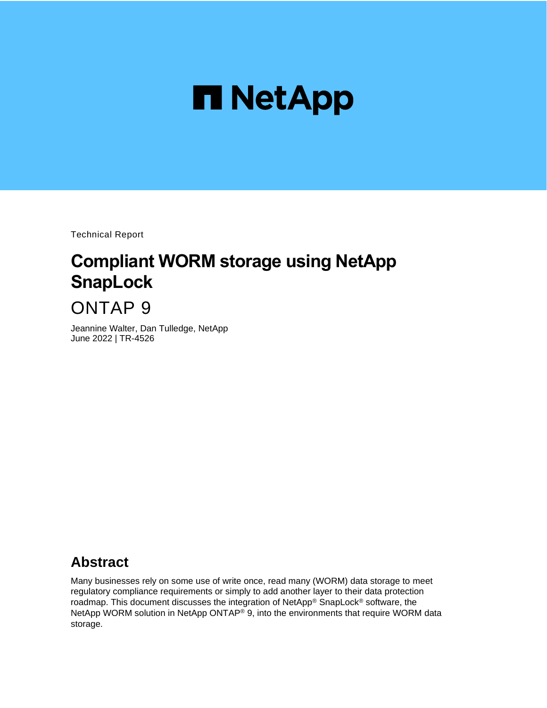

Technical Report

# **Compliant WORM storage using NetApp SnapLock**

# ONTAP 9

Jeannine Walter, Dan Tulledge, NetApp June 2022 | TR-4526

## **Abstract**

Many businesses rely on some use of write once, read many (WORM) data storage to meet regulatory compliance requirements or simply to add another layer to their data protection roadmap. This document discusses the integration of NetApp® SnapLock® software, the NetApp WORM solution in NetApp ONTAP® 9, into the environments that require WORM data storage.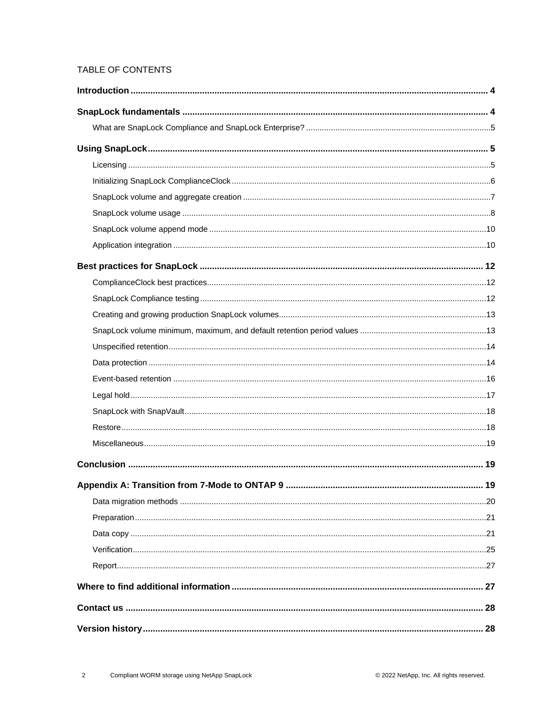## TABLE OF CONTENTS

| 19 |
|----|
|    |
|    |
|    |
|    |
|    |
|    |
|    |
|    |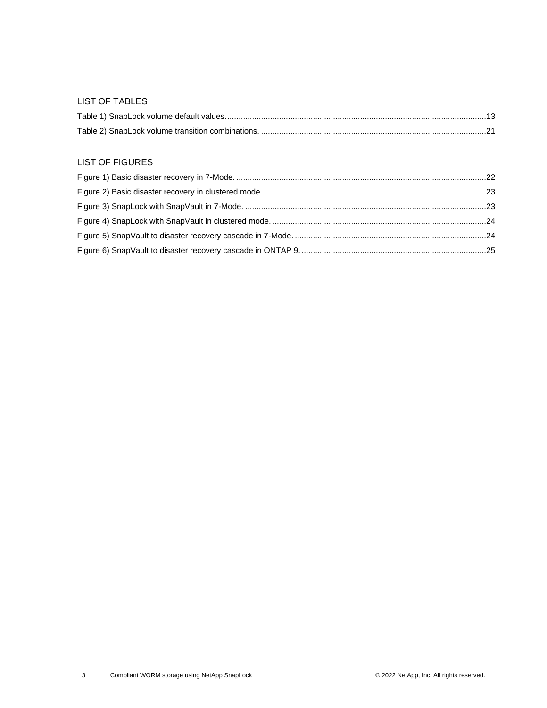#### LIST OF TABLES

#### LIST OF FIGURES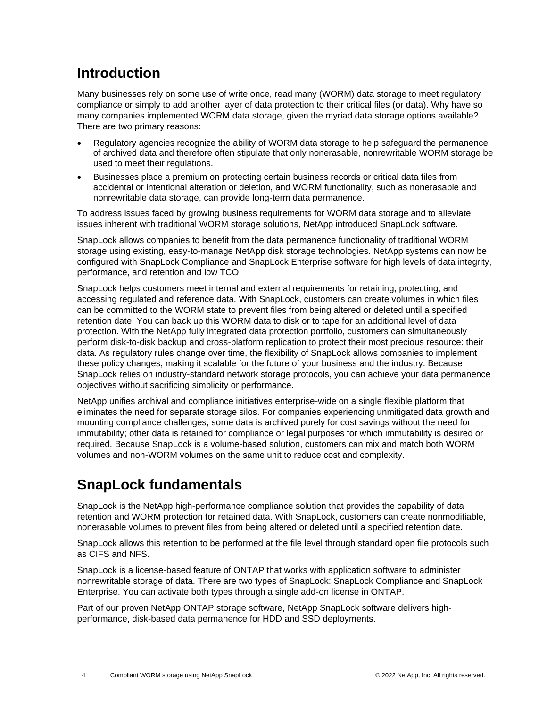## <span id="page-3-0"></span>**Introduction**

Many businesses rely on some use of write once, read many (WORM) data storage to meet regulatory compliance or simply to add another layer of data protection to their critical files (or data). Why have so many companies implemented WORM data storage, given the myriad data storage options available? There are two primary reasons:

- Regulatory agencies recognize the ability of WORM data storage to help safeguard the permanence of archived data and therefore often stipulate that only nonerasable, nonrewritable WORM storage be used to meet their regulations.
- Businesses place a premium on protecting certain business records or critical data files from accidental or intentional alteration or deletion, and WORM functionality, such as nonerasable and nonrewritable data storage, can provide long-term data permanence.

To address issues faced by growing business requirements for WORM data storage and to alleviate issues inherent with traditional WORM storage solutions, NetApp introduced SnapLock software.

SnapLock allows companies to benefit from the data permanence functionality of traditional WORM storage using existing, easy-to-manage NetApp disk storage technologies. NetApp systems can now be configured with SnapLock Compliance and SnapLock Enterprise software for high levels of data integrity, performance, and retention and low TCO.

SnapLock helps customers meet internal and external requirements for retaining, protecting, and accessing regulated and reference data. With SnapLock, customers can create volumes in which files can be committed to the WORM state to prevent files from being altered or deleted until a specified retention date. You can back up this WORM data to disk or to tape for an additional level of data protection. With the NetApp fully integrated data protection portfolio, customers can simultaneously perform disk-to-disk backup and cross-platform replication to protect their most precious resource: their data. As regulatory rules change over time, the flexibility of SnapLock allows companies to implement these policy changes, making it scalable for the future of your business and the industry. Because SnapLock relies on industry-standard network storage protocols, you can achieve your data permanence objectives without sacrificing simplicity or performance.

NetApp unifies archival and compliance initiatives enterprise-wide on a single flexible platform that eliminates the need for separate storage silos. For companies experiencing unmitigated data growth and mounting compliance challenges, some data is archived purely for cost savings without the need for immutability; other data is retained for compliance or legal purposes for which immutability is desired or required. Because SnapLock is a volume-based solution, customers can mix and match both WORM volumes and non-WORM volumes on the same unit to reduce cost and complexity.

## <span id="page-3-1"></span>**SnapLock fundamentals**

SnapLock is the NetApp high-performance compliance solution that provides the capability of data retention and WORM protection for retained data. With SnapLock, customers can create nonmodifiable, nonerasable volumes to prevent files from being altered or deleted until a specified retention date.

SnapLock allows this retention to be performed at the file level through standard open file protocols such as CIFS and NFS.

SnapLock is a license-based feature of ONTAP that works with application software to administer nonrewritable storage of data. There are two types of SnapLock: SnapLock Compliance and SnapLock Enterprise. You can activate both types through a single add-on license in ONTAP.

Part of our proven NetApp ONTAP storage software, NetApp SnapLock software delivers highperformance, disk-based data permanence for HDD and SSD deployments.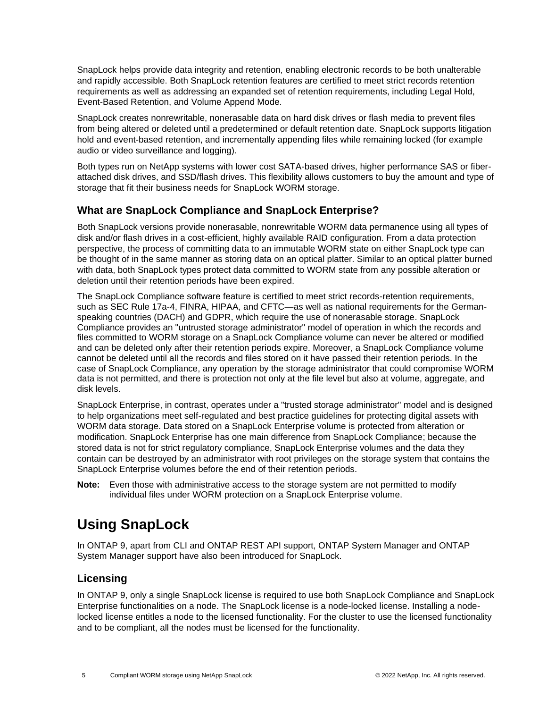SnapLock helps provide data integrity and retention, enabling electronic records to be both unalterable and rapidly accessible. Both SnapLock retention features are certified to meet strict records retention requirements as well as addressing an expanded set of retention requirements, including Legal Hold, Event-Based Retention, and Volume Append Mode.

SnapLock creates nonrewritable, nonerasable data on hard disk drives or flash media to prevent files from being altered or deleted until a predetermined or default retention date. SnapLock supports litigation hold and event-based retention, and incrementally appending files while remaining locked (for example audio or video surveillance and logging).

Both types run on NetApp systems with lower cost SATA-based drives, higher performance SAS or fiberattached disk drives, and SSD/flash drives. This flexibility allows customers to buy the amount and type of storage that fit their business needs for SnapLock WORM storage.

## <span id="page-4-0"></span>**What are SnapLock Compliance and SnapLock Enterprise?**

Both SnapLock versions provide nonerasable, nonrewritable WORM data permanence using all types of disk and/or flash drives in a cost-efficient, highly available RAID configuration. From a data protection perspective, the process of committing data to an immutable WORM state on either SnapLock type can be thought of in the same manner as storing data on an optical platter. Similar to an optical platter burned with data, both SnapLock types protect data committed to WORM state from any possible alteration or deletion until their retention periods have been expired.

The SnapLock Compliance software feature is certified to meet strict records-retention requirements, such as SEC Rule 17a-4, FINRA, HIPAA, and CFTC—as well as national requirements for the Germanspeaking countries (DACH) and GDPR, which require the use of nonerasable storage. SnapLock Compliance provides an "untrusted storage administrator" model of operation in which the records and files committed to WORM storage on a SnapLock Compliance volume can never be altered or modified and can be deleted only after their retention periods expire. Moreover, a SnapLock Compliance volume cannot be deleted until all the records and files stored on it have passed their retention periods. In the case of SnapLock Compliance, any operation by the storage administrator that could compromise WORM data is not permitted, and there is protection not only at the file level but also at volume, aggregate, and disk levels.

SnapLock Enterprise, in contrast, operates under a "trusted storage administrator" model and is designed to help organizations meet self-regulated and best practice guidelines for protecting digital assets with WORM data storage. Data stored on a SnapLock Enterprise volume is protected from alteration or modification. SnapLock Enterprise has one main difference from SnapLock Compliance; because the stored data is not for strict regulatory compliance, SnapLock Enterprise volumes and the data they contain can be destroyed by an administrator with root privileges on the storage system that contains the SnapLock Enterprise volumes before the end of their retention periods.

**Note:** Even those with administrative access to the storage system are not permitted to modify individual files under WORM protection on a SnapLock Enterprise volume.

## <span id="page-4-1"></span>**Using SnapLock**

In ONTAP 9, apart from CLI and ONTAP REST API support, ONTAP System Manager and ONTAP System Manager support have also been introduced for SnapLock.

## <span id="page-4-2"></span>**Licensing**

In ONTAP 9, only a single SnapLock license is required to use both SnapLock Compliance and SnapLock Enterprise functionalities on a node. The SnapLock license is a node-locked license. Installing a nodelocked license entitles a node to the licensed functionality. For the cluster to use the licensed functionality and to be compliant, all the nodes must be licensed for the functionality.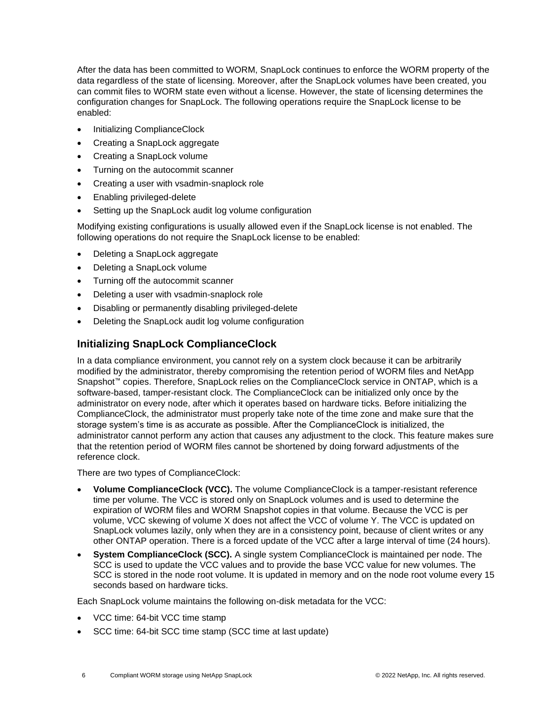After the data has been committed to WORM, SnapLock continues to enforce the WORM property of the data regardless of the state of licensing. Moreover, after the SnapLock volumes have been created, you can commit files to WORM state even without a license. However, the state of licensing determines the configuration changes for SnapLock. The following operations require the SnapLock license to be enabled:

- Initializing ComplianceClock
- Creating a SnapLock aggregate
- Creating a SnapLock volume
- Turning on the autocommit scanner
- Creating a user with vsadmin-snaplock role
- Enabling privileged-delete
- Setting up the SnapLock audit log volume configuration

Modifying existing configurations is usually allowed even if the SnapLock license is not enabled. The following operations do not require the SnapLock license to be enabled:

- Deleting a SnapLock aggregate
- Deleting a SnapLock volume
- Turning off the autocommit scanner
- Deleting a user with vsadmin-snaplock role
- Disabling or permanently disabling privileged-delete
- Deleting the SnapLock audit log volume configuration

## <span id="page-5-0"></span>**Initializing SnapLock ComplianceClock**

In a data compliance environment, you cannot rely on a system clock because it can be arbitrarily modified by the administrator, thereby compromising the retention period of WORM files and NetApp Snapshot™ copies. Therefore, SnapLock relies on the ComplianceClock service in ONTAP, which is a software-based, tamper-resistant clock. The ComplianceClock can be initialized only once by the administrator on every node, after which it operates based on hardware ticks. Before initializing the ComplianceClock, the administrator must properly take note of the time zone and make sure that the storage system's time is as accurate as possible. After the ComplianceClock is initialized, the administrator cannot perform any action that causes any adjustment to the clock. This feature makes sure that the retention period of WORM files cannot be shortened by doing forward adjustments of the reference clock.

There are two types of ComplianceClock:

- **Volume ComplianceClock (VCC).** The volume ComplianceClock is a tamper-resistant reference time per volume. The VCC is stored only on SnapLock volumes and is used to determine the expiration of WORM files and WORM Snapshot copies in that volume. Because the VCC is per volume, VCC skewing of volume X does not affect the VCC of volume Y. The VCC is updated on SnapLock volumes lazily, only when they are in a consistency point, because of client writes or any other ONTAP operation. There is a forced update of the VCC after a large interval of time (24 hours).
- **System ComplianceClock (SCC).** A single system ComplianceClock is maintained per node. The SCC is used to update the VCC values and to provide the base VCC value for new volumes. The SCC is stored in the node root volume. It is updated in memory and on the node root volume every 15 seconds based on hardware ticks.

Each SnapLock volume maintains the following on-disk metadata for the VCC:

- VCC time: 64-bit VCC time stamp
- SCC time: 64-bit SCC time stamp (SCC time at last update)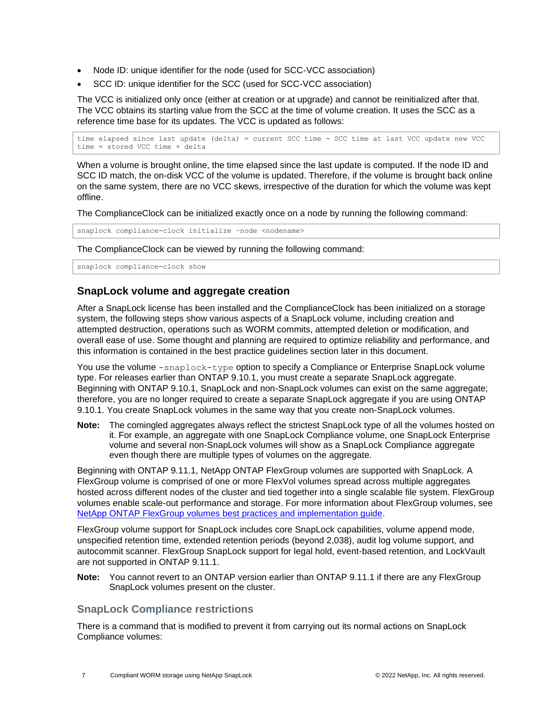- Node ID: unique identifier for the node (used for SCC-VCC association)
- SCC ID: unique identifier for the SCC (used for SCC-VCC association)

The VCC is initialized only once (either at creation or at upgrade) and cannot be reinitialized after that. The VCC obtains its starting value from the SCC at the time of volume creation. It uses the SCC as a reference time base for its updates. The VCC is updated as follows:

time elapsed since last update (delta) = current SCC time - SCC time at last VCC update new VCC time = stored VCC time + delta

When a volume is brought online, the time elapsed since the last update is computed. If the node ID and SCC ID match, the on-disk VCC of the volume is updated. Therefore, if the volume is brought back online on the same system, there are no VCC skews, irrespective of the duration for which the volume was kept offline.

The ComplianceClock can be initialized exactly once on a node by running the following command:

snaplock compliance-clock initialize -node <nodename>

The ComplianceClock can be viewed by running the following command:

snaplock compliance-clock show

## <span id="page-6-0"></span>**SnapLock volume and aggregate creation**

After a SnapLock license has been installed and the ComplianceClock has been initialized on a storage system, the following steps show various aspects of a SnapLock volume, including creation and attempted destruction, operations such as WORM commits, attempted deletion or modification, and overall ease of use. Some thought and planning are required to optimize reliability and performance, and this information is contained in the best practice guidelines section later in this document.

You use the volume  $-$ snaplock-type option to specify a Compliance or Enterprise SnapLock volume type. For releases earlier than ONTAP 9.10.1, you must create a separate SnapLock aggregate. Beginning with ONTAP 9.10.1, SnapLock and non-SnapLock volumes can exist on the same aggregate; therefore, you are no longer required to create a separate SnapLock aggregate if you are using ONTAP 9.10.1. You create SnapLock volumes in the same way that you create non-SnapLock volumes.

**Note:** The comingled aggregates always reflect the strictest SnapLock type of all the volumes hosted on it. For example, an aggregate with one SnapLock Compliance volume, one SnapLock Enterprise volume and several non-SnapLock volumes will show as a SnapLock Compliance aggregate even though there are multiple types of volumes on the aggregate.

Beginning with ONTAP 9.11.1, NetApp ONTAP FlexGroup volumes are supported with SnapLock. A FlexGroup volume is comprised of one or more FlexVol volumes spread across multiple aggregates hosted across different nodes of the cluster and tied together into a single scalable file system. FlexGroup volumes enable scale-out performance and storage. For more information about FlexGroup volumes, see [NetApp ONTAP FlexGroup volumes best practices and implementation guide.](https://www.netapp.com/pdf.html?item=/media/12385-tr4571pdf.pdf)

FlexGroup volume support for SnapLock includes core SnapLock capabilities, volume append mode, unspecified retention time, extended retention periods (beyond 2,038), audit log volume support, and autocommit scanner. FlexGroup SnapLock support for legal hold, event-based retention, and LockVault are not supported in ONTAP 9.11.1.

**Note:** You cannot revert to an ONTAP version earlier than ONTAP 9.11.1 if there are any FlexGroup SnapLock volumes present on the cluster.

## **SnapLock Compliance restrictions**

There is a command that is modified to prevent it from carrying out its normal actions on SnapLock Compliance volumes: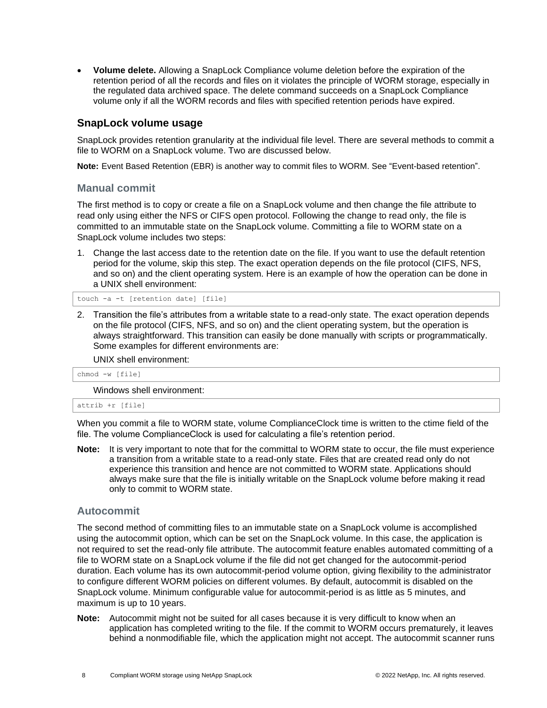• **Volume delete.** Allowing a SnapLock Compliance volume deletion before the expiration of the retention period of all the records and files on it violates the principle of WORM storage, especially in the regulated data archived space. The delete command succeeds on a SnapLock Compliance volume only if all the WORM records and files with specified retention periods have expired.

## <span id="page-7-0"></span>**SnapLock volume usage**

SnapLock provides retention granularity at the individual file level. There are several methods to commit a file to WORM on a SnapLock volume. Two are discussed below.

**Note:** Event Based Retention (EBR) is another way to commit files to WORM. See ["Event-based](#page-15-0) retention".

#### **Manual commit**

The first method is to copy or create a file on a SnapLock volume and then change the file attribute to read only using either the NFS or CIFS open protocol. Following the change to read only, the file is committed to an immutable state on the SnapLock volume. Committing a file to WORM state on a SnapLock volume includes two steps:

1. Change the last access date to the retention date on the file. If you want to use the default retention period for the volume, skip this step. The exact operation depends on the file protocol (CIFS, NFS, and so on) and the client operating system. Here is an example of how the operation can be done in a UNIX shell environment:

touch -a -t [retention date] [file]

2. Transition the file's attributes from a writable state to a read-only state. The exact operation depends on the file protocol (CIFS, NFS, and so on) and the client operating system, but the operation is always straightforward. This transition can easily be done manually with scripts or programmatically. Some examples for different environments are:

UNIX shell environment:

chmod -w [file]

Windows shell environment:

attrib +r [file]

When you commit a file to WORM state, volume ComplianceClock time is written to the ctime field of the file. The volume ComplianceClock is used for calculating a file's retention period.

**Note:** It is very important to note that for the committal to WORM state to occur, the file must experience a transition from a writable state to a read-only state. Files that are created read only do not experience this transition and hence are not committed to WORM state. Applications should always make sure that the file is initially writable on the SnapLock volume before making it read only to commit to WORM state.

#### **Autocommit**

The second method of committing files to an immutable state on a SnapLock volume is accomplished using the autocommit option, which can be set on the SnapLock volume. In this case, the application is not required to set the read-only file attribute. The autocommit feature enables automated committing of a file to WORM state on a SnapLock volume if the file did not get changed for the autocommit-period duration. Each volume has its own autocommit-period volume option, giving flexibility to the administrator to configure different WORM policies on different volumes. By default, autocommit is disabled on the SnapLock volume. Minimum configurable value for autocommit-period is as little as 5 minutes, and maximum is up to 10 years.

**Note:** Autocommit might not be suited for all cases because it is very difficult to know when an application has completed writing to the file. If the commit to WORM occurs prematurely, it leaves behind a nonmodifiable file, which the application might not accept. The autocommit scanner runs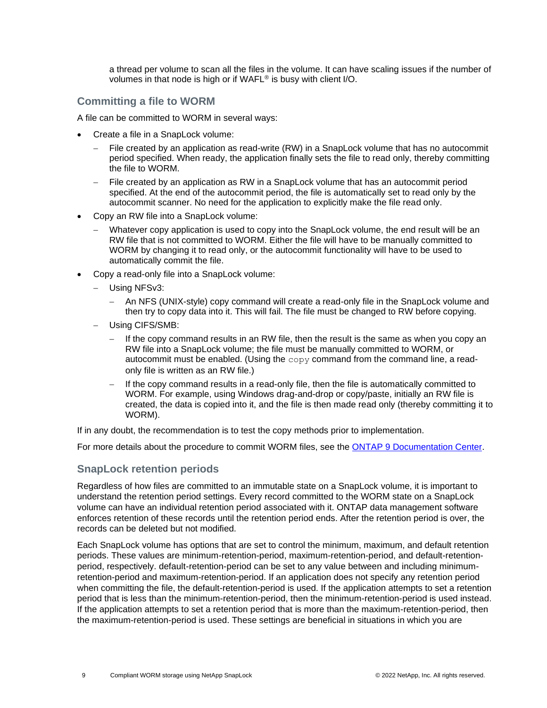a thread per volume to scan all the files in the volume. It can have scaling issues if the number of volumes in that node is high or if WAFL® is busy with client I/O.

## **Committing a file to WORM**

A file can be committed to WORM in several ways:

- Create a file in a SnapLock volume:
	- File created by an application as read-write (RW) in a SnapLock volume that has no autocommit period specified. When ready, the application finally sets the file to read only, thereby committing the file to WORM.
	- File created by an application as RW in a SnapLock volume that has an autocommit period specified. At the end of the autocommit period, the file is automatically set to read only by the autocommit scanner. No need for the application to explicitly make the file read only.
- Copy an RW file into a SnapLock volume:
	- Whatever copy application is used to copy into the SnapLock volume, the end result will be an RW file that is not committed to WORM. Either the file will have to be manually committed to WORM by changing it to read only, or the autocommit functionality will have to be used to automatically commit the file.
- Copy a read-only file into a SnapLock volume:
	- − Using NFSv3:
		- − An NFS (UNIX-style) copy command will create a read-only file in the SnapLock volume and then try to copy data into it. This will fail. The file must be changed to RW before copying.
	- − Using CIFS/SMB:
		- If the copy command results in an RW file, then the result is the same as when you copy an RW file into a SnapLock volume; the file must be manually committed to WORM, or autocommit must be enabled. (Using the  $\text{copy}$  command from the command line, a readonly file is written as an RW file.)
		- If the copy command results in a read-only file, then the file is automatically committed to WORM. For example, using Windows drag-and-drop or copy/paste, initially an RW file is created, the data is copied into it, and the file is then made read only (thereby committing it to WORM).

If in any doubt, the recommendation is to test the copy methods prior to implementation.

For more details about the procedure to commit WORM files, see the [ONTAP 9 Documentation Center.](https://docs.netapp.com/ontap-9/index.jsp?topic=%2Fcom.netapp.doc.pow-arch-con%2FGUID-ABFD860B-BBC5-4F0A-A83F-0942E4C214AA.html)

#### **SnapLock retention periods**

Regardless of how files are committed to an immutable state on a SnapLock volume, it is important to understand the retention period settings. Every record committed to the WORM state on a SnapLock volume can have an individual retention period associated with it. ONTAP data management software enforces retention of these records until the retention period ends. After the retention period is over, the records can be deleted but not modified.

Each SnapLock volume has options that are set to control the minimum, maximum, and default retention periods. These values are minimum-retention-period, maximum-retention-period, and default-retentionperiod, respectively. default-retention-period can be set to any value between and including minimumretention-period and maximum-retention-period. If an application does not specify any retention period when committing the file, the default-retention-period is used. If the application attempts to set a retention period that is less than the minimum-retention-period, then the minimum-retention-period is used instead. If the application attempts to set a retention period that is more than the maximum-retention-period, then the maximum-retention-period is used. These settings are beneficial in situations in which you are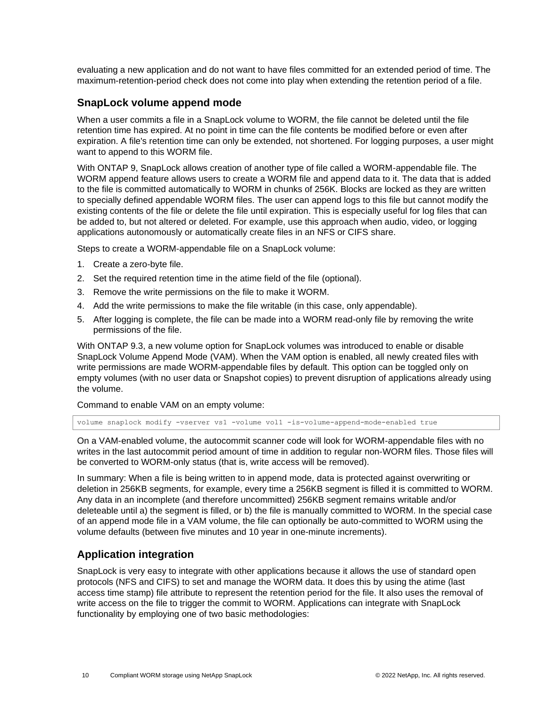evaluating a new application and do not want to have files committed for an extended period of time. The maximum-retention-period check does not come into play when extending the retention period of a file.

### <span id="page-9-0"></span>**SnapLock volume append mode**

When a user commits a file in a SnapLock volume to WORM, the file cannot be deleted until the file retention time has expired. At no point in time can the file contents be modified before or even after expiration. A file's retention time can only be extended, not shortened. For logging purposes, a user might want to append to this WORM file.

With ONTAP 9, SnapLock allows creation of another type of file called a WORM-appendable file. The WORM append feature allows users to create a WORM file and append data to it. The data that is added to the file is committed automatically to WORM in chunks of 256K. Blocks are locked as they are written to specially defined appendable WORM files. The user can append logs to this file but cannot modify the existing contents of the file or delete the file until expiration. This is especially useful for log files that can be added to, but not altered or deleted. For example, use this approach when audio, video, or logging applications autonomously or automatically create files in an NFS or CIFS share.

Steps to create a WORM-appendable file on a SnapLock volume:

- 1. Create a zero-byte file.
- 2. Set the required retention time in the atime field of the file (optional).
- 3. Remove the write permissions on the file to make it WORM.
- 4. Add the write permissions to make the file writable (in this case, only appendable).
- 5. After logging is complete, the file can be made into a WORM read-only file by removing the write permissions of the file.

With ONTAP 9.3, a new volume option for SnapLock volumes was introduced to enable or disable SnapLock Volume Append Mode (VAM). When the VAM option is enabled, all newly created files with write permissions are made WORM-appendable files by default. This option can be toggled only on empty volumes (with no user data or Snapshot copies) to prevent disruption of applications already using the volume.

Command to enable VAM on an empty volume:

volume snaplock modify -vserver vs1 -volume vol1 -is-volume-append-mode-enabled true

On a VAM-enabled volume, the autocommit scanner code will look for WORM-appendable files with no writes in the last autocommit period amount of time in addition to regular non-WORM files. Those files will be converted to WORM-only status (that is, write access will be removed).

In summary: When a file is being written to in append mode, data is protected against overwriting or deletion in 256KB segments, for example, every time a 256KB segment is filled it is committed to WORM. Any data in an incomplete (and therefore uncommitted) 256KB segment remains writable and/or deleteable until a) the segment is filled, or b) the file is manually committed to WORM. In the special case of an append mode file in a VAM volume, the file can optionally be auto-committed to WORM using the volume defaults (between five minutes and 10 year in one-minute increments).

## <span id="page-9-1"></span>**Application integration**

SnapLock is very easy to integrate with other applications because it allows the use of standard open protocols (NFS and CIFS) to set and manage the WORM data. It does this by using the atime (last access time stamp) file attribute to represent the retention period for the file. It also uses the removal of write access on the file to trigger the commit to WORM. Applications can integrate with SnapLock functionality by employing one of two basic methodologies: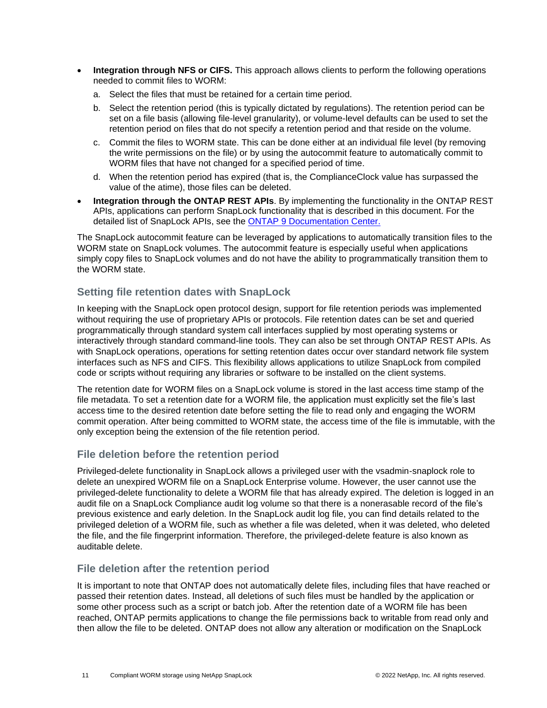- **Integration through NFS or CIFS.** This approach allows clients to perform the following operations needed to commit files to WORM:
	- a. Select the files that must be retained for a certain time period.
	- b. Select the retention period (this is typically dictated by regulations). The retention period can be set on a file basis (allowing file-level granularity), or volume-level defaults can be used to set the retention period on files that do not specify a retention period and that reside on the volume.
	- c. Commit the files to WORM state. This can be done either at an individual file level (by removing the write permissions on the file) or by using the autocommit feature to automatically commit to WORM files that have not changed for a specified period of time.
	- d. When the retention period has expired (that is, the ComplianceClock value has surpassed the value of the atime), those files can be deleted.
- **Integration through the ONTAP REST APIs**. By implementing the functionality in the ONTAP REST APIs, applications can perform SnapLock functionality that is described in this document. For the detailed list of SnapLock APIs, see the [ONTAP 9 Documentation Center.](https://docs.netapp.com/ontap-9/index.jsp?topic=%2Fcom.netapp.doc.pow-arch-con%2FGUID-ABFD860B-BBC5-4F0A-A83F-0942E4C214AA.html)

The SnapLock autocommit feature can be leveraged by applications to automatically transition files to the WORM state on SnapLock volumes. The autocommit feature is especially useful when applications simply copy files to SnapLock volumes and do not have the ability to programmatically transition them to the WORM state.

## **Setting file retention dates with SnapLock**

In keeping with the SnapLock open protocol design, support for file retention periods was implemented without requiring the use of proprietary APIs or protocols. File retention dates can be set and queried programmatically through standard system call interfaces supplied by most operating systems or interactively through standard command-line tools. They can also be set through ONTAP REST APIs. As with SnapLock operations, operations for setting retention dates occur over standard network file system interfaces such as NFS and CIFS. This flexibility allows applications to utilize SnapLock from compiled code or scripts without requiring any libraries or software to be installed on the client systems.

The retention date for WORM files on a SnapLock volume is stored in the last access time stamp of the file metadata. To set a retention date for a WORM file, the application must explicitly set the file's last access time to the desired retention date before setting the file to read only and engaging the WORM commit operation. After being committed to WORM state, the access time of the file is immutable, with the only exception being the extension of the file retention period.

## **File deletion before the retention period**

Privileged-delete functionality in SnapLock allows a privileged user with the vsadmin-snaplock role to delete an unexpired WORM file on a SnapLock Enterprise volume. However, the user cannot use the privileged-delete functionality to delete a WORM file that has already expired. The deletion is logged in an audit file on a SnapLock Compliance audit log volume so that there is a nonerasable record of the file's previous existence and early deletion. In the SnapLock audit log file, you can find details related to the privileged deletion of a WORM file, such as whether a file was deleted, when it was deleted, who deleted the file, and the file fingerprint information. Therefore, the privileged-delete feature is also known as auditable delete.

## **File deletion after the retention period**

It is important to note that ONTAP does not automatically delete files, including files that have reached or passed their retention dates. Instead, all deletions of such files must be handled by the application or some other process such as a script or batch job. After the retention date of a WORM file has been reached, ONTAP permits applications to change the file permissions back to writable from read only and then allow the file to be deleted. ONTAP does not allow any alteration or modification on the SnapLock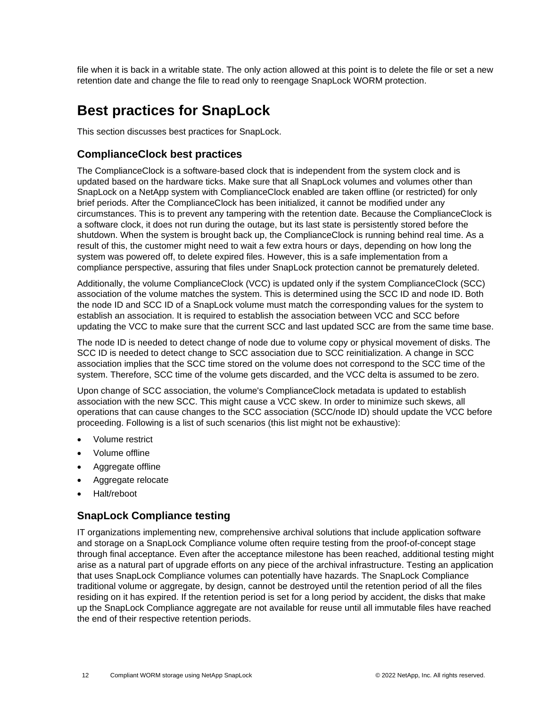file when it is back in a writable state. The only action allowed at this point is to delete the file or set a new retention date and change the file to read only to reengage SnapLock WORM protection.

## <span id="page-11-0"></span>**Best practices for SnapLock**

This section discusses best practices for SnapLock.

## <span id="page-11-1"></span>**ComplianceClock best practices**

The ComplianceClock is a software-based clock that is independent from the system clock and is updated based on the hardware ticks. Make sure that all SnapLock volumes and volumes other than SnapLock on a NetApp system with ComplianceClock enabled are taken offline (or restricted) for only brief periods. After the ComplianceClock has been initialized, it cannot be modified under any circumstances. This is to prevent any tampering with the retention date. Because the ComplianceClock is a software clock, it does not run during the outage, but its last state is persistently stored before the shutdown. When the system is brought back up, the ComplianceClock is running behind real time. As a result of this, the customer might need to wait a few extra hours or days, depending on how long the system was powered off, to delete expired files. However, this is a safe implementation from a compliance perspective, assuring that files under SnapLock protection cannot be prematurely deleted.

Additionally, the volume ComplianceClock (VCC) is updated only if the system ComplianceClock (SCC) association of the volume matches the system. This is determined using the SCC ID and node ID. Both the node ID and SCC ID of a SnapLock volume must match the corresponding values for the system to establish an association. It is required to establish the association between VCC and SCC before updating the VCC to make sure that the current SCC and last updated SCC are from the same time base.

The node ID is needed to detect change of node due to volume copy or physical movement of disks. The SCC ID is needed to detect change to SCC association due to SCC reinitialization. A change in SCC association implies that the SCC time stored on the volume does not correspond to the SCC time of the system. Therefore, SCC time of the volume gets discarded, and the VCC delta is assumed to be zero.

Upon change of SCC association, the volume's ComplianceClock metadata is updated to establish association with the new SCC. This might cause a VCC skew. In order to minimize such skews, all operations that can cause changes to the SCC association (SCC/node ID) should update the VCC before proceeding. Following is a list of such scenarios (this list might not be exhaustive):

- Volume restrict
- Volume offline
- Aggregate offline
- Aggregate relocate
- Halt/reboot

## <span id="page-11-2"></span>**SnapLock Compliance testing**

IT organizations implementing new, comprehensive archival solutions that include application software and storage on a SnapLock Compliance volume often require testing from the proof-of-concept stage through final acceptance. Even after the acceptance milestone has been reached, additional testing might arise as a natural part of upgrade efforts on any piece of the archival infrastructure. Testing an application that uses SnapLock Compliance volumes can potentially have hazards. The SnapLock Compliance traditional volume or aggregate, by design, cannot be destroyed until the retention period of all the files residing on it has expired. If the retention period is set for a long period by accident, the disks that make up the SnapLock Compliance aggregate are not available for reuse until all immutable files have reached the end of their respective retention periods.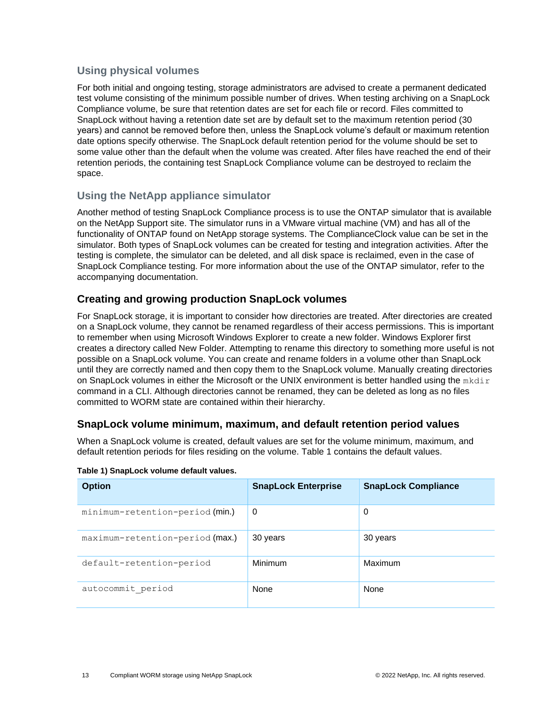## **Using physical volumes**

For both initial and ongoing testing, storage administrators are advised to create a permanent dedicated test volume consisting of the minimum possible number of drives. When testing archiving on a SnapLock Compliance volume, be sure that retention dates are set for each file or record. Files committed to SnapLock without having a retention date set are by default set to the maximum retention period (30 years) and cannot be removed before then, unless the SnapLock volume's default or maximum retention date options specify otherwise. The SnapLock default retention period for the volume should be set to some value other than the default when the volume was created. After files have reached the end of their retention periods, the containing test SnapLock Compliance volume can be destroyed to reclaim the space.

## **Using the NetApp appliance simulator**

Another method of testing SnapLock Compliance process is to use the ONTAP simulator that is available on the NetApp Support site. The simulator runs in a VMware virtual machine (VM) and has all of the functionality of ONTAP found on NetApp storage systems. The ComplianceClock value can be set in the simulator. Both types of SnapLock volumes can be created for testing and integration activities. After the testing is complete, the simulator can be deleted, and all disk space is reclaimed, even in the case of SnapLock Compliance testing. For more information about the use of the ONTAP simulator, refer to the accompanying documentation.

## <span id="page-12-0"></span>**Creating and growing production SnapLock volumes**

For SnapLock storage, it is important to consider how directories are treated. After directories are created on a SnapLock volume, they cannot be renamed regardless of their access permissions. This is important to remember when using Microsoft Windows Explorer to create a new folder. Windows Explorer first creates a directory called New Folder. Attempting to rename this directory to something more useful is not possible on a SnapLock volume. You can create and rename folders in a volume other than SnapLock until they are correctly named and then copy them to the SnapLock volume. Manually creating directories on SnapLock volumes in either the Microsoft or the UNIX environment is better handled using the  $mkdir$ command in a CLI. Although directories cannot be renamed, they can be deleted as long as no files committed to WORM state are contained within their hierarchy.

## <span id="page-12-1"></span>**SnapLock volume minimum, maximum, and default retention period values**

When a SnapLock volume is created, default values are set for the volume minimum, maximum, and default retention periods for files residing on the volume. [Table 1](#page-12-2) contains the default values.

| <b>Option</b>                   | <b>SnapLock Enterprise</b> | <b>SnapLock Compliance</b> |
|---------------------------------|----------------------------|----------------------------|
| minimum-retention-period (min.) | $\Omega$                   | 0                          |
| maximum-retention-period (max.) | 30 years                   | 30 years                   |
| default-retention-period        | Minimum                    | Maximum                    |
| autocommit period               | None                       | None                       |

#### <span id="page-12-2"></span>**Table 1) SnapLock volume default values.**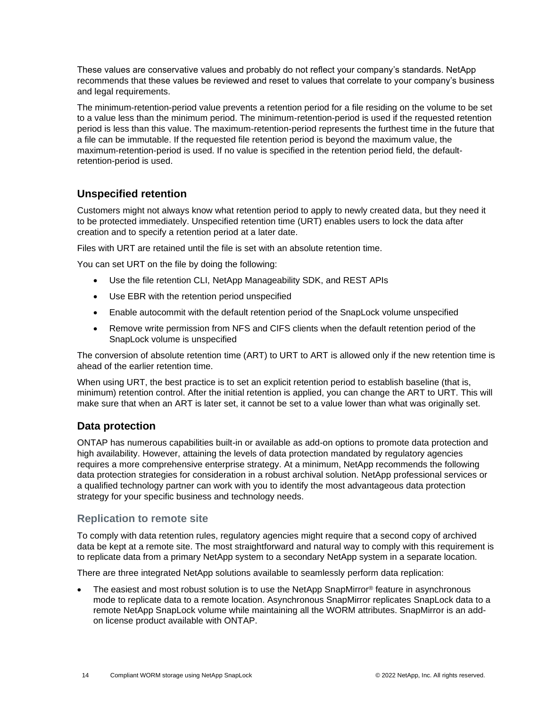These values are conservative values and probably do not reflect your company's standards. NetApp recommends that these values be reviewed and reset to values that correlate to your company's business and legal requirements.

The minimum-retention-period value prevents a retention period for a file residing on the volume to be set to a value less than the minimum period. The minimum-retention-period is used if the requested retention period is less than this value. The maximum-retention-period represents the furthest time in the future that a file can be immutable. If the requested file retention period is beyond the maximum value, the maximum-retention-period is used. If no value is specified in the retention period field, the defaultretention-period is used.

## <span id="page-13-0"></span>**Unspecified retention**

Customers might not always know what retention period to apply to newly created data, but they need it to be protected immediately. Unspecified retention time (URT) enables users to lock the data after creation and to specify a retention period at a later date.

Files with URT are retained until the file is set with an absolute retention time.

You can set URT on the file by doing the following:

- Use the file retention CLI, NetApp Manageability SDK, and REST APIs
- Use EBR with the retention period unspecified
- Enable autocommit with the default retention period of the SnapLock volume unspecified
- Remove write permission from NFS and CIFS clients when the default retention period of the SnapLock volume is unspecified

The conversion of absolute retention time (ART) to URT to ART is allowed only if the new retention time is ahead of the earlier retention time.

When using URT, the best practice is to set an explicit retention period to establish baseline (that is, minimum) retention control. After the initial retention is applied, you can change the ART to URT. This will make sure that when an ART is later set, it cannot be set to a value lower than what was originally set.

## <span id="page-13-1"></span>**Data protection**

ONTAP has numerous capabilities built-in or available as add-on options to promote data protection and high availability. However, attaining the levels of data protection mandated by regulatory agencies requires a more comprehensive enterprise strategy. At a minimum, NetApp recommends the following data protection strategies for consideration in a robust archival solution. NetApp professional services or a qualified technology partner can work with you to identify the most advantageous data protection strategy for your specific business and technology needs.

## **Replication to remote site**

To comply with data retention rules, regulatory agencies might require that a second copy of archived data be kept at a remote site. The most straightforward and natural way to comply with this requirement is to replicate data from a primary NetApp system to a secondary NetApp system in a separate location.

There are three integrated NetApp solutions available to seamlessly perform data replication:

The easiest and most robust solution is to use the NetApp SnapMirror<sup>®</sup> feature in asynchronous mode to replicate data to a remote location. Asynchronous SnapMirror replicates SnapLock data to a remote NetApp SnapLock volume while maintaining all the WORM attributes. SnapMirror is an addon license product available with ONTAP.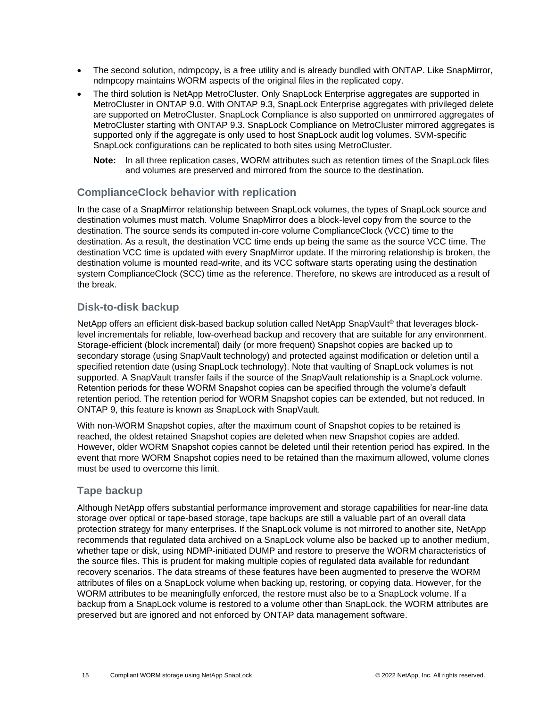- The second solution, ndmpcopy, is a free utility and is already bundled with ONTAP. Like SnapMirror, ndmpcopy maintains WORM aspects of the original files in the replicated copy.
- The third solution is NetApp MetroCluster. Only SnapLock Enterprise aggregates are supported in MetroCluster in ONTAP 9.0. With ONTAP 9.3, SnapLock Enterprise aggregates with privileged delete are supported on MetroCluster. SnapLock Compliance is also supported on unmirrored aggregates of MetroCluster starting with ONTAP 9.3. SnapLock Compliance on MetroCluster mirrored aggregates is supported only if the aggregate is only used to host SnapLock audit log volumes. SVM-specific SnapLock configurations can be replicated to both sites using MetroCluster.
	- **Note:** In all three replication cases, WORM attributes such as retention times of the SnapLock files and volumes are preserved and mirrored from the source to the destination.

## **ComplianceClock behavior with replication**

In the case of a SnapMirror relationship between SnapLock volumes, the types of SnapLock source and destination volumes must match. Volume SnapMirror does a block-level copy from the source to the destination. The source sends its computed in-core volume ComplianceClock (VCC) time to the destination. As a result, the destination VCC time ends up being the same as the source VCC time. The destination VCC time is updated with every SnapMirror update. If the mirroring relationship is broken, the destination volume is mounted read-write, and its VCC software starts operating using the destination system ComplianceClock (SCC) time as the reference. Therefore, no skews are introduced as a result of the break.

## **Disk-to-disk backup**

NetApp offers an efficient disk-based backup solution called NetApp SnapVault® that leverages blocklevel incrementals for reliable, low-overhead backup and recovery that are suitable for any environment. Storage-efficient (block incremental) daily (or more frequent) Snapshot copies are backed up to secondary storage (using SnapVault technology) and protected against modification or deletion until a specified retention date (using SnapLock technology). Note that vaulting of SnapLock volumes is not supported. A SnapVault transfer fails if the source of the SnapVault relationship is a SnapLock volume. Retention periods for these WORM Snapshot copies can be specified through the volume's default retention period. The retention period for WORM Snapshot copies can be extended, but not reduced. In ONTAP 9, this feature is known as SnapLock with SnapVault.

With non-WORM Snapshot copies, after the maximum count of Snapshot copies to be retained is reached, the oldest retained Snapshot copies are deleted when new Snapshot copies are added. However, older WORM Snapshot copies cannot be deleted until their retention period has expired. In the event that more WORM Snapshot copies need to be retained than the maximum allowed, volume clones must be used to overcome this limit.

## **Tape backup**

Although NetApp offers substantial performance improvement and storage capabilities for near-line data storage over optical or tape-based storage, tape backups are still a valuable part of an overall data protection strategy for many enterprises. If the SnapLock volume is not mirrored to another site, NetApp recommends that regulated data archived on a SnapLock volume also be backed up to another medium, whether tape or disk, using NDMP-initiated DUMP and restore to preserve the WORM characteristics of the source files. This is prudent for making multiple copies of regulated data available for redundant recovery scenarios. The data streams of these features have been augmented to preserve the WORM attributes of files on a SnapLock volume when backing up, restoring, or copying data. However, for the WORM attributes to be meaningfully enforced, the restore must also be to a SnapLock volume. If a backup from a SnapLock volume is restored to a volume other than SnapLock, the WORM attributes are preserved but are ignored and not enforced by ONTAP data management software.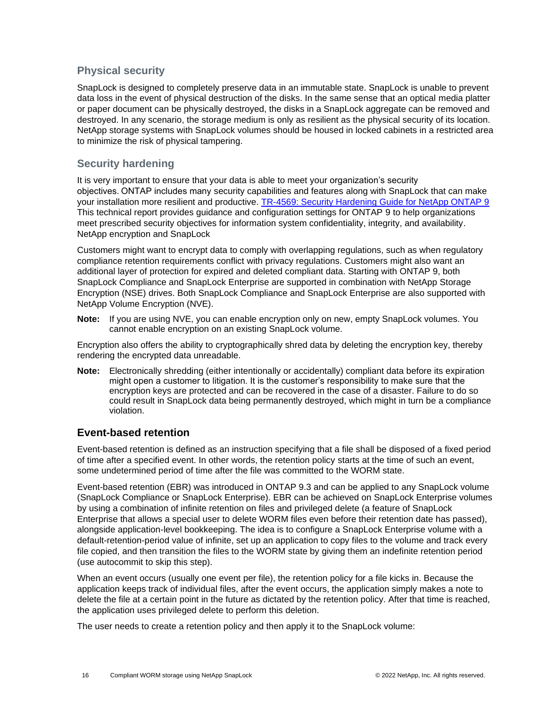## **Physical security**

SnapLock is designed to completely preserve data in an immutable state. SnapLock is unable to prevent data loss in the event of physical destruction of the disks. In the same sense that an optical media platter or paper document can be physically destroyed, the disks in a SnapLock aggregate can be removed and destroyed. In any scenario, the storage medium is only as resilient as the physical security of its location. NetApp storage systems with SnapLock volumes should be housed in locked cabinets in a restricted area to minimize the risk of physical tampering.

## **Security hardening**

It is very important to ensure that your data is able to meet your organization's security objectives. ONTAP includes many security capabilities and features along with SnapLock that can make your installation more resilient and productive. [TR-4569: Security Hardening Guide for NetApp ONTAP 9](https://www.netapp.com/pdf.html?item=/media/10674-tr4569.pdf) This technical report provides guidance and configuration settings for ONTAP 9 to help organizations meet prescribed security objectives for information system confidentiality, integrity, and availability. NetApp encryption and SnapLock

Customers might want to encrypt data to comply with overlapping regulations, such as when regulatory compliance retention requirements conflict with privacy regulations. Customers might also want an additional layer of protection for expired and deleted compliant data. Starting with ONTAP 9, both SnapLock Compliance and SnapLock Enterprise are supported in combination with NetApp Storage Encryption (NSE) drives. Both SnapLock Compliance and SnapLock Enterprise are also supported with NetApp Volume Encryption (NVE).

**Note:** If you are using NVE, you can enable encryption only on new, empty SnapLock volumes. You cannot enable encryption on an existing SnapLock volume.

Encryption also offers the ability to cryptographically shred data by deleting the encryption key, thereby rendering the encrypted data unreadable.

**Note:** Electronically shredding (either intentionally or accidentally) compliant data before its expiration might open a customer to litigation. It is the customer's responsibility to make sure that the encryption keys are protected and can be recovered in the case of a disaster. Failure to do so could result in SnapLock data being permanently destroyed, which might in turn be a compliance violation.

## <span id="page-15-0"></span>**Event-based retention**

Event-based retention is defined as an instruction specifying that a file shall be disposed of a fixed period of time after a specified event. In other words, the retention policy starts at the time of such an event, some undetermined period of time after the file was committed to the WORM state.

Event-based retention (EBR) was introduced in ONTAP 9.3 and can be applied to any SnapLock volume (SnapLock Compliance or SnapLock Enterprise). EBR can be achieved on SnapLock Enterprise volumes by using a combination of infinite retention on files and privileged delete (a feature of SnapLock Enterprise that allows a special user to delete WORM files even before their retention date has passed), alongside application-level bookkeeping. The idea is to configure a SnapLock Enterprise volume with a default-retention-period value of infinite, set up an application to copy files to the volume and track every file copied, and then transition the files to the WORM state by giving them an indefinite retention period (use autocommit to skip this step).

When an event occurs (usually one event per file), the retention policy for a file kicks in. Because the application keeps track of individual files, after the event occurs, the application simply makes a note to delete the file at a certain point in the future as dictated by the retention policy. After that time is reached, the application uses privileged delete to perform this deletion.

The user needs to create a retention policy and then apply it to the SnapLock volume: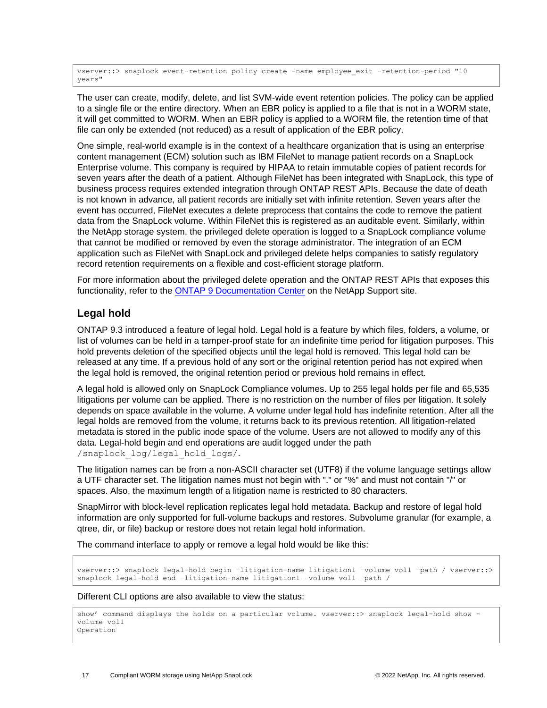vserver:: > snaplock event-retention policy create -name employee exit -retention-period "10 years"

The user can create, modify, delete, and list SVM-wide event retention policies. The policy can be applied to a single file or the entire directory. When an EBR policy is applied to a file that is not in a WORM state, it will get committed to WORM. When an EBR policy is applied to a WORM file, the retention time of that file can only be extended (not reduced) as a result of application of the EBR policy.

One simple, real-world example is in the context of a healthcare organization that is using an enterprise content management (ECM) solution such as IBM FileNet to manage patient records on a SnapLock Enterprise volume. This company is required by HIPAA to retain immutable copies of patient records for seven years after the death of a patient. Although FileNet has been integrated with SnapLock, this type of business process requires extended integration through ONTAP REST APIs. Because the date of death is not known in advance, all patient records are initially set with infinite retention. Seven years after the event has occurred, FileNet executes a delete preprocess that contains the code to remove the patient data from the SnapLock volume. Within FileNet this is registered as an auditable event. Similarly, within the NetApp storage system, the privileged delete operation is logged to a SnapLock compliance volume that cannot be modified or removed by even the storage administrator. The integration of an ECM application such as FileNet with SnapLock and privileged delete helps companies to satisfy regulatory record retention requirements on a flexible and cost-efficient storage platform.

For more information about the privileged delete operation and the ONTAP REST APIs that exposes this functionality, refer to the **ONTAP 9 Documentation Center** on the NetApp Support site.

## <span id="page-16-0"></span>**Legal hold**

ONTAP 9.3 introduced a feature of legal hold. Legal hold is a feature by which files, folders, a volume, or list of volumes can be held in a tamper-proof state for an indefinite time period for litigation purposes. This hold prevents deletion of the specified objects until the legal hold is removed. This legal hold can be released at any time. If a previous hold of any sort or the original retention period has not expired when the legal hold is removed, the original retention period or previous hold remains in effect.

A legal hold is allowed only on SnapLock Compliance volumes. Up to 255 legal holds per file and 65,535 litigations per volume can be applied. There is no restriction on the number of files per litigation. It solely depends on space available in the volume. A volume under legal hold has indefinite retention. After all the legal holds are removed from the volume, it returns back to its previous retention. All litigation-related metadata is stored in the public inode space of the volume. Users are not allowed to modify any of this data. Legal-hold begin and end operations are audit logged under the path /snaplock\_log/legal\_hold\_logs/.

The litigation names can be from a non-ASCII character set (UTF8) if the volume language settings allow a UTF character set. The litigation names must not begin with "." or "%" and must not contain "/" or spaces. Also, the maximum length of a litigation name is restricted to 80 characters.

SnapMirror with block-level replication replicates legal hold metadata. Backup and restore of legal hold information are only supported for full-volume backups and restores. Subvolume granular (for example, a qtree, dir, or file) backup or restore does not retain legal hold information.

The command interface to apply or remove a legal hold would be like this:

vserver::> snaplock legal-hold begin –litigation-name litigation1 –volume vol1 –path / vserver::> snaplock legal-hold end –litigation-name litigation1 –volume vol1 –path /

#### Different CLI options are also available to view the status:

```
show' command displays the holds on a particular volume. vserver::> snaplock legal-hold show -
volume vol1
Operation
```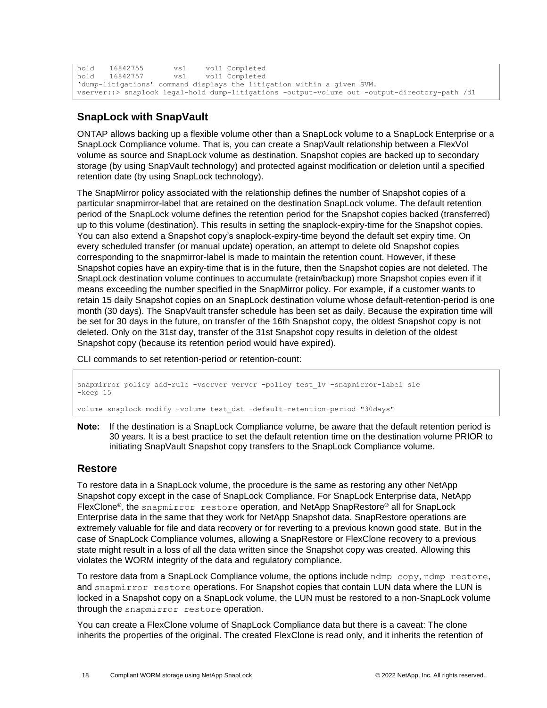```
hold 16842755 vs1 vol1 Completed
hold 16842757 vs1 vol1 Completed
'dump-litigations' command displays the litigation within a given SVM.
vserver::> snaplock legal-hold dump-litigations -output-volume out -output-directory-path /d1
```
## <span id="page-17-0"></span>**SnapLock with SnapVault**

ONTAP allows backing up a flexible volume other than a SnapLock volume to a SnapLock Enterprise or a SnapLock Compliance volume. That is, you can create a SnapVault relationship between a FlexVol volume as source and SnapLock volume as destination. Snapshot copies are backed up to secondary storage (by using SnapVault technology) and protected against modification or deletion until a specified retention date (by using SnapLock technology).

The SnapMirror policy associated with the relationship defines the number of Snapshot copies of a particular snapmirror-label that are retained on the destination SnapLock volume. The default retention period of the SnapLock volume defines the retention period for the Snapshot copies backed (transferred) up to this volume (destination). This results in setting the snaplock-expiry-time for the Snapshot copies. You can also extend a Snapshot copy's snaplock-expiry-time beyond the default set expiry time. On every scheduled transfer (or manual update) operation, an attempt to delete old Snapshot copies corresponding to the snapmirror-label is made to maintain the retention count. However, if these Snapshot copies have an expiry-time that is in the future, then the Snapshot copies are not deleted. The SnapLock destination volume continues to accumulate (retain/backup) more Snapshot copies even if it means exceeding the number specified in the SnapMirror policy. For example, if a customer wants to retain 15 daily Snapshot copies on an SnapLock destination volume whose default-retention-period is one month (30 days). The SnapVault transfer schedule has been set as daily. Because the expiration time will be set for 30 days in the future, on transfer of the 16th Snapshot copy, the oldest Snapshot copy is not deleted. Only on the 31st day, transfer of the 31st Snapshot copy results in deletion of the oldest Snapshot copy (because its retention period would have expired).

CLI commands to set retention-period or retention-count:

snapmirror policy add-rule -vserver verver -policy test\_lv -snapmirror-label sle -keep 15 volume snaplock modify -volume test\_dst -default-retention-period "30days"

**Note:** If the destination is a SnapLock Compliance volume, be aware that the default retention period is 30 years. It is a best practice to set the default retention time on the destination volume PRIOR to initiating SnapVault Snapshot copy transfers to the SnapLock Compliance volume.

## <span id="page-17-1"></span>**Restore**

To restore data in a SnapLock volume, the procedure is the same as restoring any other NetApp Snapshot copy except in the case of SnapLock Compliance. For SnapLock Enterprise data, NetApp FlexClone<sup>®</sup>, the snapmirror restore operation, and NetApp SnapRestore<sup>®</sup> all for SnapLock Enterprise data in the same that they work for NetApp Snapshot data. SnapRestore operations are extremely valuable for file and data recovery or for reverting to a previous known good state. But in the case of SnapLock Compliance volumes, allowing a SnapRestore or FlexClone recovery to a previous state might result in a loss of all the data written since the Snapshot copy was created. Allowing this violates the WORM integrity of the data and regulatory compliance.

To restore data from a SnapLock Compliance volume, the options include ndmp copy, ndmp restore, and snapmirror restore operations. For Snapshot copies that contain LUN data where the LUN is locked in a Snapshot copy on a SnapLock volume, the LUN must be restored to a non-SnapLock volume through the snapmirror restore operation.

You can create a FlexClone volume of SnapLock Compliance data but there is a caveat: The clone inherits the properties of the original. The created FlexClone is read only, and it inherits the retention of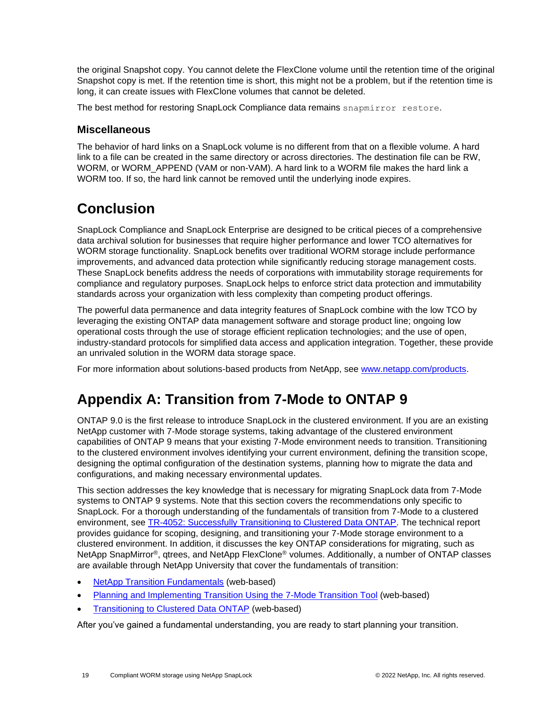the original Snapshot copy. You cannot delete the FlexClone volume until the retention time of the original Snapshot copy is met. If the retention time is short, this might not be a problem, but if the retention time is long, it can create issues with FlexClone volumes that cannot be deleted.

The best method for restoring SnapLock Compliance data remains snapmirror restore.

## <span id="page-18-0"></span>**Miscellaneous**

The behavior of hard links on a SnapLock volume is no different from that on a flexible volume. A hard link to a file can be created in the same directory or across directories. The destination file can be RW, WORM, or WORM\_APPEND (VAM or non-VAM). A hard link to a WORM file makes the hard link a WORM too. If so, the hard link cannot be removed until the underlying inode expires.

## <span id="page-18-1"></span>**Conclusion**

SnapLock Compliance and SnapLock Enterprise are designed to be critical pieces of a comprehensive data archival solution for businesses that require higher performance and lower TCO alternatives for WORM storage functionality. SnapLock benefits over traditional WORM storage include performance improvements, and advanced data protection while significantly reducing storage management costs. These SnapLock benefits address the needs of corporations with immutability storage requirements for compliance and regulatory purposes. SnapLock helps to enforce strict data protection and immutability standards across your organization with less complexity than competing product offerings.

The powerful data permanence and data integrity features of SnapLock combine with the low TCO by leveraging the existing ONTAP data management software and storage product line; ongoing low operational costs through the use of storage efficient replication technologies; and the use of open, industry-standard protocols for simplified data access and application integration. Together, these provide an unrivaled solution in the WORM data storage space.

For more information about solutions-based products from NetApp, see [www.netapp.com/products.](http://www.netapp.com/products)

## <span id="page-18-2"></span>**Appendix A: Transition from 7-Mode to ONTAP 9**

ONTAP 9.0 is the first release to introduce SnapLock in the clustered environment. If you are an existing NetApp customer with 7-Mode storage systems, taking advantage of the clustered environment capabilities of ONTAP 9 means that your existing 7-Mode environment needs to transition. Transitioning to the clustered environment involves identifying your current environment, defining the transition scope, designing the optimal configuration of the destination systems, planning how to migrate the data and configurations, and making necessary environmental updates.

This section addresses the key knowledge that is necessary for migrating SnapLock data from 7-Mode systems to ONTAP 9 systems. Note that this section covers the recommendations only specific to SnapLock. For a thorough understanding of the fundamentals of transition from 7-Mode to a clustered environment, see [TR-4052: Successfully Transitioning to Clustered Data ONTAP. T](http://www.netapp.com/us/media/tr-4052.pdf)he technical report provides guidance for scoping, designing, and transitioning your 7-Mode storage environment to a clustered environment. In addition, it discusses the key ONTAP considerations for migrating, such as NetApp SnapMirror®, qtrees, and NetApp FlexClone® volumes. Additionally, a number of ONTAP classes are available through NetApp University that cover the fundamentals of transition:

- [NetApp Transition Fundamentals](https://learningcenter.netapp.com/content/public/production/course_descriptions/STRSW-WBT-XNFND_CourseDescription.pdf) (web-based)
- [Planning and Implementing Transition Using the 7-Mode Transition Tool](https://learningcenter.netapp.com/content/public/production/course_descriptions/CRS-003264-01-A_CourseDescription.pdf) (web-based)
- [Transitioning to Clustered Data ONTAP](https://netapp.sabacloud.com/Saba/Web_spf/NA1PRD0047/common/ledetail/cours000000000014009) (web-based)

After you've gained a fundamental understanding, you are ready to start planning your transition.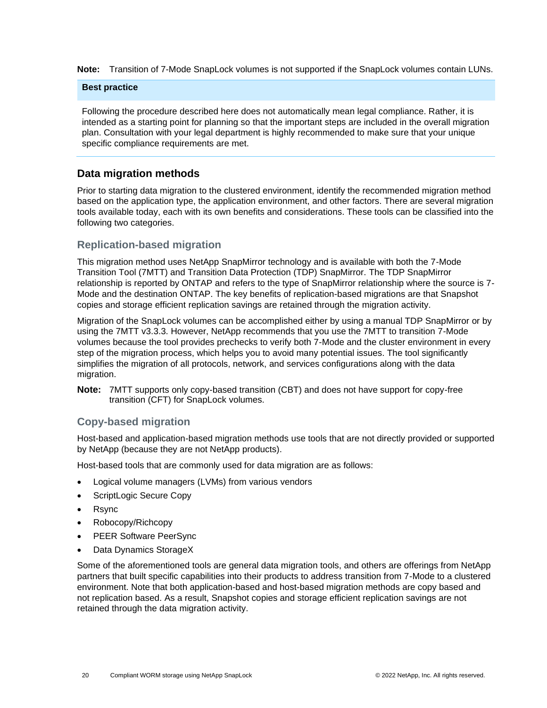**Note:** Transition of 7-Mode SnapLock volumes is not supported if the SnapLock volumes contain LUNs.

#### **Best practice**

Following the procedure described here does not automatically mean legal compliance. Rather, it is intended as a starting point for planning so that the important steps are included in the overall migration plan. Consultation with your legal department is highly recommended to make sure that your unique specific compliance requirements are met.

### <span id="page-19-0"></span>**Data migration methods**

Prior to starting data migration to the clustered environment, identify the recommended migration method based on the application type, the application environment, and other factors. There are several migration tools available today, each with its own benefits and considerations. These tools can be classified into the following two categories.

### **Replication-based migration**

This migration method uses NetApp SnapMirror technology and is available with both the 7-Mode Transition Tool (7MTT) and Transition Data Protection (TDP) SnapMirror. The TDP SnapMirror relationship is reported by ONTAP and refers to the type of SnapMirror relationship where the source is 7- Mode and the destination ONTAP. The key benefits of replication-based migrations are that Snapshot copies and storage efficient replication savings are retained through the migration activity.

Migration of the SnapLock volumes can be accomplished either by using a manual TDP SnapMirror or by using the 7MTT v3.3.3. However, NetApp recommends that you use the 7MTT to transition 7-Mode volumes because the tool provides prechecks to verify both 7-Mode and the cluster environment in every step of the migration process, which helps you to avoid many potential issues. The tool significantly simplifies the migration of all protocols, network, and services configurations along with the data migration.

**Note:** 7MTT supports only copy-based transition (CBT) and does not have support for copy-free transition (CFT) for SnapLock volumes.

## **Copy-based migration**

Host-based and application-based migration methods use tools that are not directly provided or supported by NetApp (because they are not NetApp products).

Host-based tools that are commonly used for data migration are as follows:

- Logical volume managers (LVMs) from various vendors
- ScriptLogic Secure Copy
- Rsync
- Robocopy/Richcopy
- PEER Software PeerSync
- Data Dynamics StorageX

Some of the aforementioned tools are general data migration tools, and others are offerings from NetApp partners that built specific capabilities into their products to address transition from 7-Mode to a clustered environment. Note that both application-based and host-based migration methods are copy based and not replication based. As a result, Snapshot copies and storage efficient replication savings are not retained through the data migration activity.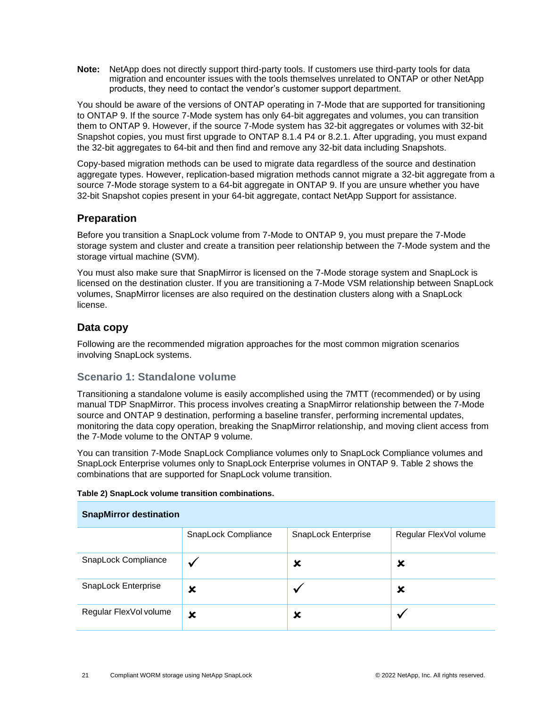**Note:** NetApp does not directly support third-party tools. If customers use third-party tools for data migration and encounter issues with the tools themselves unrelated to ONTAP or other NetApp products, they need to contact the vendor's customer support department.

You should be aware of the versions of ONTAP operating in 7-Mode that are supported for transitioning to ONTAP 9. If the source 7-Mode system has only 64-bit aggregates and volumes, you can transition them to ONTAP 9. However, if the source 7-Mode system has 32-bit aggregates or volumes with 32-bit Snapshot copies, you must first upgrade to ONTAP 8.1.4 P4 or 8.2.1. After upgrading, you must expand the 32-bit aggregates to 64-bit and then find and remove any 32-bit data including Snapshots.

Copy-based migration methods can be used to migrate data regardless of the source and destination aggregate types. However, replication-based migration methods cannot migrate a 32-bit aggregate from a source 7-Mode storage system to a 64-bit aggregate in ONTAP 9. If you are unsure whether you have 32-bit Snapshot copies present in your 64-bit aggregate, contact NetApp Support for assistance.

## <span id="page-20-0"></span>**Preparation**

Before you transition a SnapLock volume from 7-Mode to ONTAP 9, you must prepare the 7-Mode storage system and cluster and create a transition peer relationship between the 7-Mode system and the storage virtual machine (SVM).

You must also make sure that SnapMirror is licensed on the 7-Mode storage system and SnapLock is licensed on the destination cluster. If you are transitioning a 7-Mode VSM relationship between SnapLock volumes, SnapMirror licenses are also required on the destination clusters along with a SnapLock license.

## <span id="page-20-1"></span>**Data copy**

Following are the recommended migration approaches for the most common migration scenarios involving SnapLock systems.

## **Scenario 1: Standalone volume**

Transitioning a standalone volume is easily accomplished using the 7MTT (recommended) or by using manual TDP SnapMirror. This process involves creating a SnapMirror relationship between the 7-Mode source and ONTAP 9 destination, performing a baseline transfer, performing incremental updates, monitoring the data copy operation, breaking the SnapMirror relationship, and moving client access from the 7-Mode volume to the ONTAP 9 volume.

You can transition 7-Mode SnapLock Compliance volumes only to SnapLock Compliance volumes and SnapLock Enterprise volumes only to SnapLock Enterprise volumes in ONTAP 9. [Table 2](#page-20-2) shows the combinations that are supported for SnapLock volume transition.

| <b>SnapMirror destination</b> |                     |                     |                        |
|-------------------------------|---------------------|---------------------|------------------------|
|                               | SnapLock Compliance | SnapLock Enterprise | Regular FlexVol volume |
| SnapLock Compliance           |                     | x                   | x                      |
| SnapLock Enterprise           | ×                   |                     | x                      |
| Regular FlexVol volume        | ×                   | x                   |                        |

#### <span id="page-20-2"></span>**Table 2) SnapLock volume transition combinations.**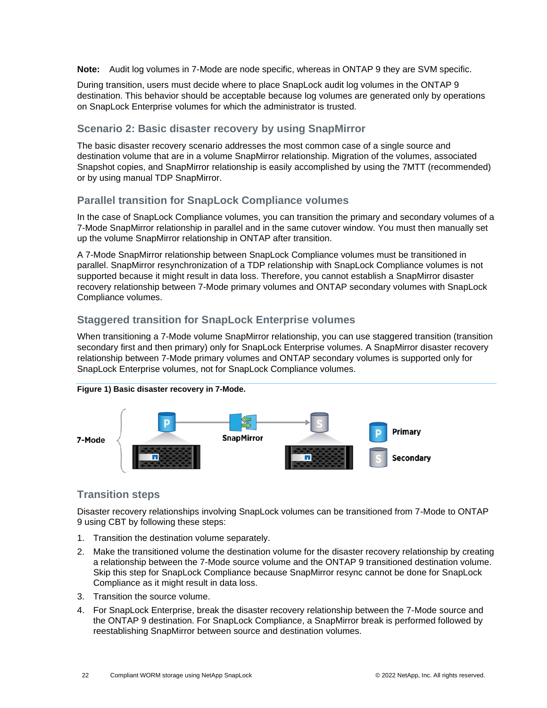**Note:** Audit log volumes in 7-Mode are node specific, whereas in ONTAP 9 they are SVM specific.

During transition, users must decide where to place SnapLock audit log volumes in the ONTAP 9 destination. This behavior should be acceptable because log volumes are generated only by operations on SnapLock Enterprise volumes for which the administrator is trusted.

## **Scenario 2: Basic disaster recovery by using SnapMirror**

The basic disaster recovery scenario addresses the most common case of a single source and destination volume that are in a volume SnapMirror relationship. Migration of the volumes, associated Snapshot copies, and SnapMirror relationship is easily accomplished by using the 7MTT (recommended) or by using manual TDP SnapMirror.

## **Parallel transition for SnapLock Compliance volumes**

In the case of SnapLock Compliance volumes, you can transition the primary and secondary volumes of a 7-Mode SnapMirror relationship in parallel and in the same cutover window. You must then manually set up the volume SnapMirror relationship in ONTAP after transition.

A 7-Mode SnapMirror relationship between SnapLock Compliance volumes must be transitioned in parallel. SnapMirror resynchronization of a TDP relationship with SnapLock Compliance volumes is not supported because it might result in data loss. Therefore, you cannot establish a SnapMirror disaster recovery relationship between 7-Mode primary volumes and ONTAP secondary volumes with SnapLock Compliance volumes.

## **Staggered transition for SnapLock Enterprise volumes**

When transitioning a 7-Mode volume SnapMirror relationship, you can use staggered transition (transition secondary first and then primary) only for SnapLock Enterprise volumes. A SnapMirror disaster recovery relationship between 7-Mode primary volumes and ONTAP secondary volumes is supported only for SnapLock Enterprise volumes, not for SnapLock Compliance volumes.



#### <span id="page-21-0"></span>**Figure 1) Basic disaster recovery in 7-Mode.**

## **Transition steps**

Disaster recovery relationships involving SnapLock volumes can be transitioned from 7-Mode to ONTAP 9 using CBT by following these steps:

- 1. Transition the destination volume separately.
- 2. Make the transitioned volume the destination volume for the disaster recovery relationship by creating a relationship between the 7-Mode source volume and the ONTAP 9 transitioned destination volume. Skip this step for SnapLock Compliance because SnapMirror resync cannot be done for SnapLock Compliance as it might result in data loss.
- 3. Transition the source volume.
- 4. For SnapLock Enterprise, break the disaster recovery relationship between the 7-Mode source and the ONTAP 9 destination. For SnapLock Compliance, a SnapMirror break is performed followed by reestablishing SnapMirror between source and destination volumes.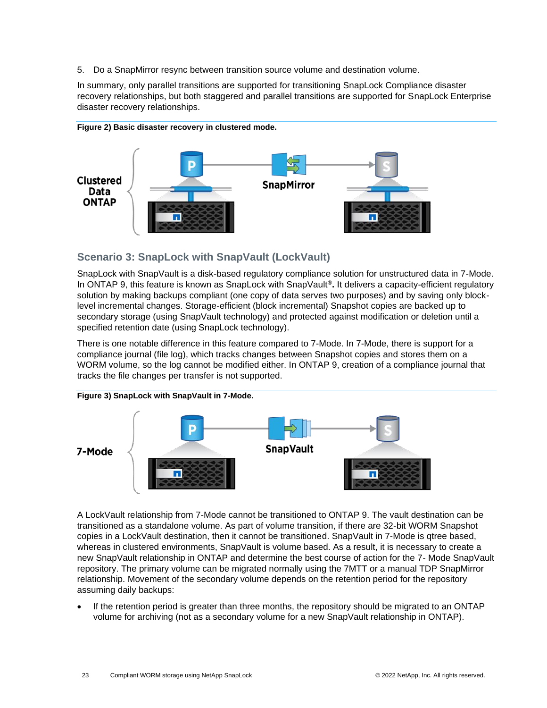5. Do a SnapMirror resync between transition source volume and destination volume.

In summary, only parallel transitions are supported for transitioning SnapLock Compliance disaster recovery relationships, but both staggered and parallel transitions are supported for SnapLock Enterprise disaster recovery relationships.



#### <span id="page-22-0"></span>**Figure 2) Basic disaster recovery in clustered mode.**

## **Scenario 3: SnapLock with SnapVault (LockVault)**

SnapLock with SnapVault is a disk-based regulatory compliance solution for unstructured data in 7-Mode. In ONTAP 9, this feature is known as SnapLock with SnapVault®**.** It delivers a capacity-efficient regulatory solution by making backups compliant (one copy of data serves two purposes) and by saving only blocklevel incremental changes. Storage-efficient (block incremental) Snapshot copies are backed up to secondary storage (using SnapVault technology) and protected against modification or deletion until a specified retention date (using SnapLock technology).

There is one notable difference in this feature compared to 7-Mode. In 7-Mode, there is support for a compliance journal (file log), which tracks changes between Snapshot copies and stores them on a WORM volume, so the log cannot be modified either. In ONTAP 9, creation of a compliance journal that tracks the file changes per transfer is not supported.

<span id="page-22-1"></span>

## A LockVault relationship from 7-Mode cannot be transitioned to ONTAP 9. The vault destination can be transitioned as a standalone volume. As part of volume transition, if there are 32-bit WORM Snapshot copies in a LockVault destination, then it cannot be transitioned. SnapVault in 7-Mode is qtree based, whereas in clustered environments, SnapVault is volume based. As a result, it is necessary to create a new SnapVault relationship in ONTAP and determine the best course of action for the 7- Mode SnapVault repository. The primary volume can be migrated normally using the 7MTT or a manual TDP SnapMirror relationship. Movement of the secondary volume depends on the retention period for the repository assuming daily backups:

If the retention period is greater than three months, the repository should be migrated to an ONTAP volume for archiving (not as a secondary volume for a new SnapVault relationship in ONTAP).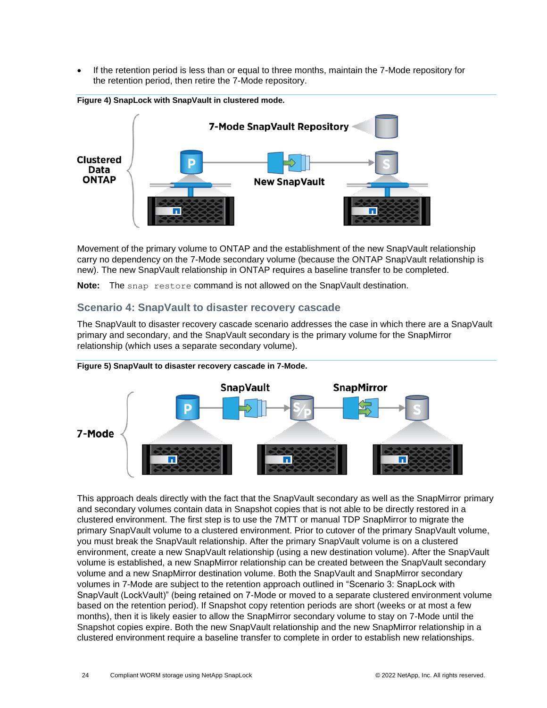• If the retention period is less than or equal to three months, maintain the 7-Mode repository for the retention period, then retire the 7-Mode repository.



<span id="page-23-0"></span>**Figure 4) SnapLock with SnapVault in clustered mode.**

Movement of the primary volume to ONTAP and the establishment of the new SnapVault relationship carry no dependency on the 7-Mode secondary volume (because the ONTAP SnapVault relationship is new). The new SnapVault relationship in ONTAP requires a baseline transfer to be completed.

**Note:** The snap restore command is not allowed on the SnapVault destination.

## **Scenario 4: SnapVault to disaster recovery cascade**

The SnapVault to disaster recovery cascade scenario addresses the case in which there are a SnapVault primary and secondary, and the SnapVault secondary is the primary volume for the SnapMirror relationship (which uses a separate secondary volume).



<span id="page-23-1"></span>

This approach deals directly with the fact that the SnapVault secondary as well as the SnapMirror primary and secondary volumes contain data in Snapshot copies that is not able to be directly restored in a clustered environment. The first step is to use the 7MTT or manual TDP SnapMirror to migrate the primary SnapVault volume to a clustered environment. Prior to cutover of the primary SnapVault volume, you must break the SnapVault relationship. After the primary SnapVault volume is on a clustered environment, create a new SnapVault relationship (using a new destination volume). After the SnapVault volume is established, a new SnapMirror relationship can be created between the SnapVault secondary volume and a new SnapMirror destination volume. Both the SnapVault and SnapMirror secondary volumes in 7-Mode are subject to the retention approach outlined in "Scenario 3: SnapLock with SnapVault (LockVault)" (being retained on 7-Mode or moved to a separate clustered environment volume based on the retention period). If Snapshot copy retention periods are short (weeks or at most a few months), then it is likely easier to allow the SnapMirror secondary volume to stay on 7-Mode until the Snapshot copies expire. Both the new SnapVault relationship and the new SnapMirror relationship in a clustered environment require a baseline transfer to complete in order to establish new relationships.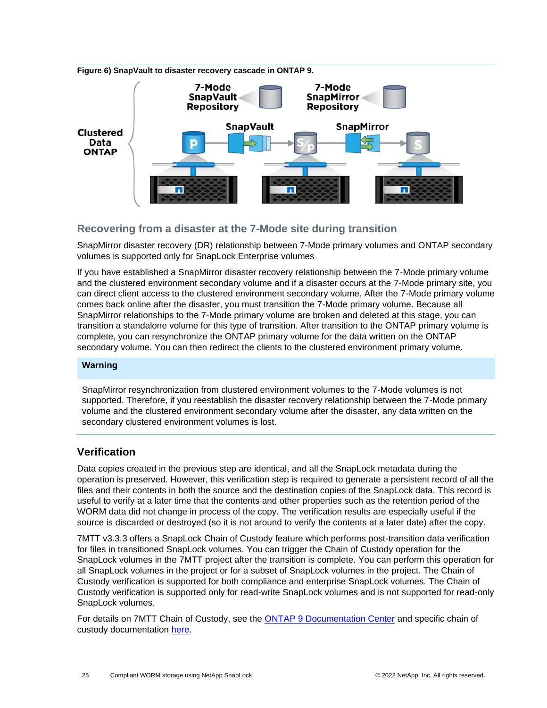<span id="page-24-1"></span>



## **Recovering from a disaster at the 7-Mode site during transition**

SnapMirror disaster recovery (DR) relationship between 7-Mode primary volumes and ONTAP secondary volumes is supported only for SnapLock Enterprise volumes

If you have established a SnapMirror disaster recovery relationship between the 7-Mode primary volume and the clustered environment secondary volume and if a disaster occurs at the 7-Mode primary site, you can direct client access to the clustered environment secondary volume. After the 7-Mode primary volume comes back online after the disaster, you must transition the 7-Mode primary volume. Because all SnapMirror relationships to the 7-Mode primary volume are broken and deleted at this stage, you can transition a standalone volume for this type of transition. After transition to the ONTAP primary volume is complete, you can resynchronize the ONTAP primary volume for the data written on the ONTAP secondary volume. You can then redirect the clients to the clustered environment primary volume.

#### **Warning**

SnapMirror resynchronization from clustered environment volumes to the 7-Mode volumes is not supported. Therefore, if you reestablish the disaster recovery relationship between the 7-Mode primary volume and the clustered environment secondary volume after the disaster, any data written on the secondary clustered environment volumes is lost.

## <span id="page-24-0"></span>**Verification**

Data copies created in the previous step are identical, and all the SnapLock metadata during the operation is preserved. However, this verification step is required to generate a persistent record of all the files and their contents in both the source and the destination copies of the SnapLock data. This record is useful to verify at a later time that the contents and other properties such as the retention period of the WORM data did not change in process of the copy. The verification results are especially useful if the source is discarded or destroyed (so it is not around to verify the contents at a later date) after the copy.

7MTT v3.3.3 offers a SnapLock Chain of Custody feature which performs post-transition data verification for files in transitioned SnapLock volumes. You can trigger the Chain of Custody operation for the SnapLock volumes in the 7MTT project after the transition is complete. You can perform this operation for all SnapLock volumes in the project or for a subset of SnapLock volumes in the project. The Chain of Custody verification is supported for both compliance and enterprise SnapLock volumes. The Chain of Custody verification is supported only for read-write SnapLock volumes and is not supported for read-only SnapLock volumes.

For details on 7MTT Chain of Custody, see the [ONTAP 9 Documentation Center](http://docs.netapp.com/ontap-9/topic/com.netapp.doc.dot-7mtt-dctg/home.html) and specific chain of custody documentation [here.](https://docs.netapp.com/us-en/ontap-7mode-transition/copy-based/concept_considerations_for_chain_of_custody_verification_for_7_mode_snaplock_volumes.html)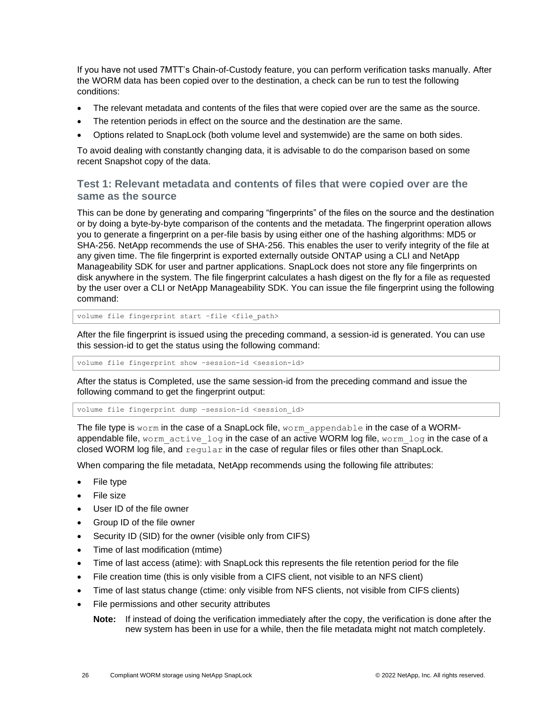If you have not used 7MTT's Chain-of-Custody feature, you can perform verification tasks manually. After the WORM data has been copied over to the destination, a check can be run to test the following conditions:

- The relevant metadata and contents of the files that were copied over are the same as the source.
- The retention periods in effect on the source and the destination are the same.
- Options related to SnapLock (both volume level and systemwide) are the same on both sides.

To avoid dealing with constantly changing data, it is advisable to do the comparison based on some recent Snapshot copy of the data.

## **Test 1: Relevant metadata and contents of files that were copied over are the same as the source**

This can be done by generating and comparing "fingerprints" of the files on the source and the destination or by doing a byte-by-byte comparison of the contents and the metadata. The fingerprint operation allows you to generate a fingerprint on a per-file basis by using either one of the hashing algorithms: MD5 or SHA-256. NetApp recommends the use of SHA-256. This enables the user to verify integrity of the file at any given time. The file fingerprint is exported externally outside ONTAP using a CLI and NetApp Manageability SDK for user and partner applications. SnapLock does not store any file fingerprints on disk anywhere in the system. The file fingerprint calculates a hash digest on the fly for a file as requested by the user over a CLI or NetApp Manageability SDK. You can issue the file fingerprint using the following command:

volume file fingerprint start -file <file path>

After the file fingerprint is issued using the preceding command, a session-id is generated. You can use this session-id to get the status using the following command:

volume file fingerprint show -session-id <session-id>

After the status is Completed, use the same session-id from the preceding command and issue the following command to get the fingerprint output:

volume file fingerprint dump -session-id <session id>

The file type is worm in the case of a SnapLock file, worm appendable in the case of a WORMappendable file, worm active log in the case of an active WORM log file, worm log in the case of a closed WORM log file, and regular in the case of regular files or files other than SnapLock.

When comparing the file metadata, NetApp recommends using the following file attributes:

- File type
- File size
- User ID of the file owner
- Group ID of the file owner
- Security ID (SID) for the owner (visible only from CIFS)
- Time of last modification (mtime)
- Time of last access (atime): with SnapLock this represents the file retention period for the file
- File creation time (this is only visible from a CIFS client, not visible to an NFS client)
- Time of last status change (ctime: only visible from NFS clients, not visible from CIFS clients)
- File permissions and other security attributes

**Note:** If instead of doing the verification immediately after the copy, the verification is done after the new system has been in use for a while, then the file metadata might not match completely.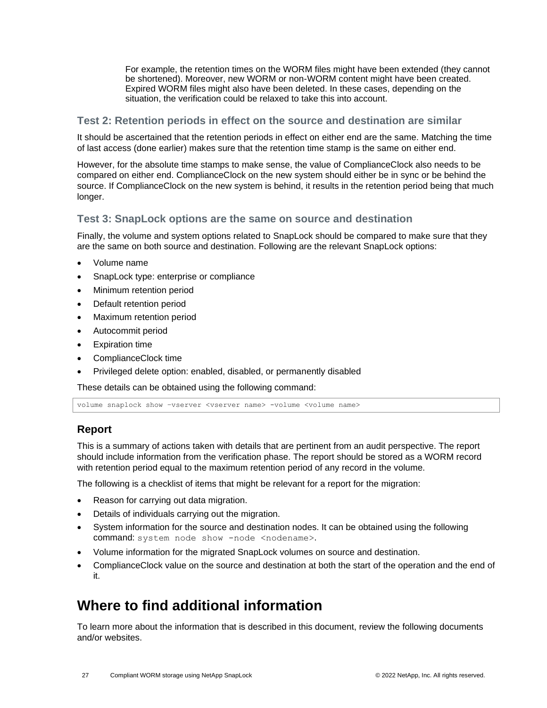For example, the retention times on the WORM files might have been extended (they cannot be shortened). Moreover, new WORM or non-WORM content might have been created. Expired WORM files might also have been deleted. In these cases, depending on the situation, the verification could be relaxed to take this into account.

## **Test 2: Retention periods in effect on the source and destination are similar**

It should be ascertained that the retention periods in effect on either end are the same. Matching the time of last access (done earlier) makes sure that the retention time stamp is the same on either end.

However, for the absolute time stamps to make sense, the value of ComplianceClock also needs to be compared on either end. ComplianceClock on the new system should either be in sync or be behind the source. If ComplianceClock on the new system is behind, it results in the retention period being that much longer.

## **Test 3: SnapLock options are the same on source and destination**

Finally, the volume and system options related to SnapLock should be compared to make sure that they are the same on both source and destination. Following are the relevant SnapLock options:

- Volume name
- SnapLock type: enterprise or compliance
- Minimum retention period
- Default retention period
- Maximum retention period
- Autocommit period
- **Expiration time**
- ComplianceClock time
- Privileged delete option: enabled, disabled, or permanently disabled

These details can be obtained using the following command:

volume snaplock show -vserver <vserver name> -volume <volume name>

## <span id="page-26-0"></span>**Report**

This is a summary of actions taken with details that are pertinent from an audit perspective. The report should include information from the verification phase. The report should be stored as a WORM record with retention period equal to the maximum retention period of any record in the volume.

The following is a checklist of items that might be relevant for a report for the migration:

- Reason for carrying out data migration.
- Details of individuals carrying out the migration.
- System information for the source and destination nodes. It can be obtained using the following command: system node show -node <nodename>.
- Volume information for the migrated SnapLock volumes on source and destination.
- ComplianceClock value on the source and destination at both the start of the operation and the end of it.

## <span id="page-26-1"></span>**Where to find additional information**

To learn more about the information that is described in this document, review the following documents and/or websites.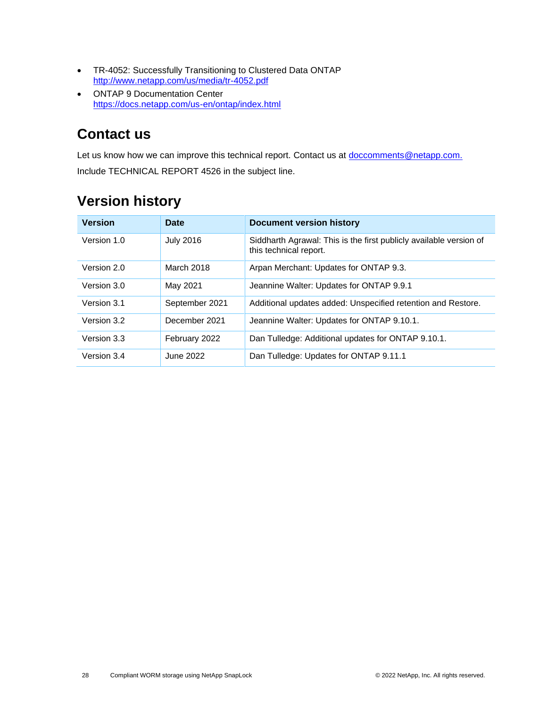- TR-4052: Successfully Transitioning to Clustered Data ONTAP <http://www.netapp.com/us/media/tr-4052.pdf>
- ONTAP 9 Documentation Center https://docs.netapp.com/us-en/ontap/index.html

## <span id="page-27-0"></span>**Contact us**

Let us know how we can improve this technical report. Contact us at **doccomments@netapp.com.** Include TECHNICAL REPORT 4526 in the subject line.

| <b>Version</b> | <b>Date</b>      | Document version history                                                                     |
|----------------|------------------|----------------------------------------------------------------------------------------------|
| Version 1.0    | <b>July 2016</b> | Siddharth Agrawal: This is the first publicly available version of<br>this technical report. |
| Version 2.0    | March 2018       | Arpan Merchant: Updates for ONTAP 9.3.                                                       |
| Version 3.0    | May 2021         | Jeannine Walter: Updates for ONTAP 9.9.1                                                     |
| Version 3.1    | September 2021   | Additional updates added: Unspecified retention and Restore.                                 |
| Version 3.2    | December 2021    | Jeannine Walter: Updates for ONTAP 9.10.1.                                                   |
| Version 3.3    | February 2022    | Dan Tulledge: Additional updates for ONTAP 9.10.1.                                           |
| Version 3.4    | June 2022        | Dan Tulledge: Updates for ONTAP 9.11.1                                                       |

## <span id="page-27-1"></span>**Version history**